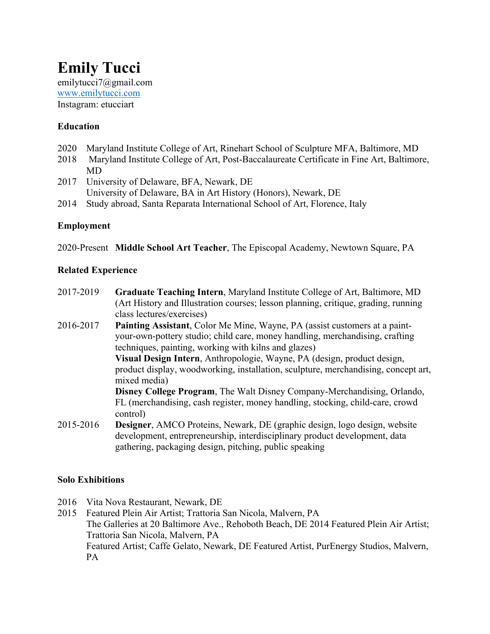# **Emily Tucci**  emilytucci7@gmail.com www.emilytucci.com Instagram: etucciart

### **Education**

- 2020 Maryland Institute College of Art, Rinehart School of Sculpture MFA, Baltimore, MD
- 2018 Maryland Institute College of Art, Post-Baccalaureate Certificate in Fine Art, Baltimore, MD
- 2017 University of Delaware, BFA, Newark, DE University of Delaware, BA in Art History (Honors), Newark, DE
- 2014 Study abroad, Santa Reparata International School of Art, Florence, Italy

### **Employment**

2020-Present **Middle School Art Teacher**, The Episcopal Academy, Newtown Square, PA

#### **Related Experience**

- 2017-2019 **Graduate Teaching Intern**, Maryland Institute College of Art, Baltimore, MD (Art History and Illustration courses; lesson planning, critique, grading, running class lectures/exercises)
- 2016-2017 **Painting Assistant**, Color Me Mine, Wayne, PA (assist customers at a paintyour-own-pottery studio; child care, money handling, merchandising, crafting techniques, painting, working with kilns and glazes)

**Visual Design Intern**, Anthropologie, Wayne, PA (design, product design, product display, woodworking, installation, sculpture, merchandising, concept art, mixed media)

**Disney College Program**, The Walt Disney Company-Merchandising, Orlando, FL (merchandising, cash register, money handling, stocking, child-care, crowd control)

2015-2016 **Designer**, AMCO Proteins, Newark, DE (graphic design, logo design, website development, entrepreneurship, interdisciplinary product development, data gathering, packaging design, pitching, public speaking

### **Solo Exhibitions**

- 2016 Vita Nova Restaurant, Newark, DE
- 2015 Featured Plein Air Artist; Trattoria San Nicola, Malvern, PA The Galleries at 20 Baltimore Ave., Rehoboth Beach, DE 2014 Featured Plein Air Artist; Trattoria San Nicola, Malvern, PA Featured Artist; Caffe Gelato, Newark, DE Featured Artist, PurEnergy Studios, Malvern, PA